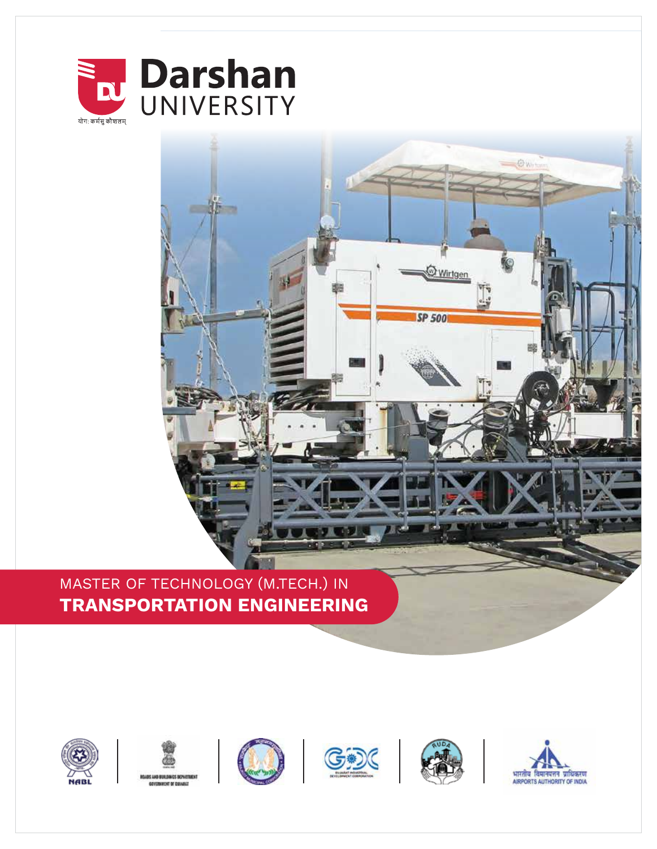



# MASTER OF TECHNOLOGY (M.TECH.) IN **TRANSPORTATION ENGINEERING**



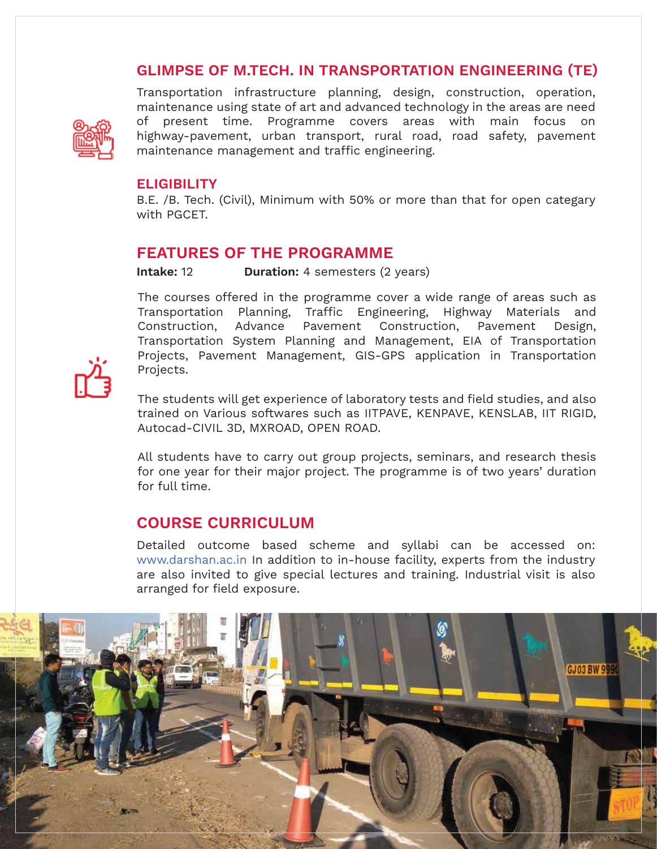## **GLIMPSE OF M.TECH. IN TRANSPORTATION ENGINEERING (TE)**



Transportation infrastructure planning, design, construction, operation, maintenance using state of art and advanced technology in the areas are need of present time. Programme covers areas with main focus on highway-pavement, urban transport, rural road, road safety, pavement maintenance management and traffic engineering.

#### **ELIGIBILITY**

B.E. /B. Tech. (Civil), Minimum with 50% or more than that for open categary with PGCET.

#### **FEATURES OF THE PROGRAMME**

**Intake:** 12 **Duration:** 4 semesters (2 years)

The courses offered in the programme cover a wide range of areas such as Transportation Planning, Traffic Engineering, Highway Materials and Construction, Advance Pavement Construction, Pavement Design, Transportation System Planning and Management, EIA of Transportation Projects, Pavement Management, GIS-GPS application in Transportation Projects.

The students will get experience of laboratory tests and field studies, and also trained on Various softwares such as IITPAVE, KENPAVE, KENSLAB, IIT RIGID, Autocad-CIVIL 3D, MXROAD, OPEN ROAD.

All students have to carry out group projects, seminars, and research thesis for one year for their major project. The programme is of two years' duration for full time.

### **COURSE CURRICULUM**

Detailed outcome based scheme and syllabi can be accessed on: www.darshan.ac.in In addition to in-house facility, experts from the industry are also invited to give special lectures and training. Industrial visit is also arranged for field exposure.

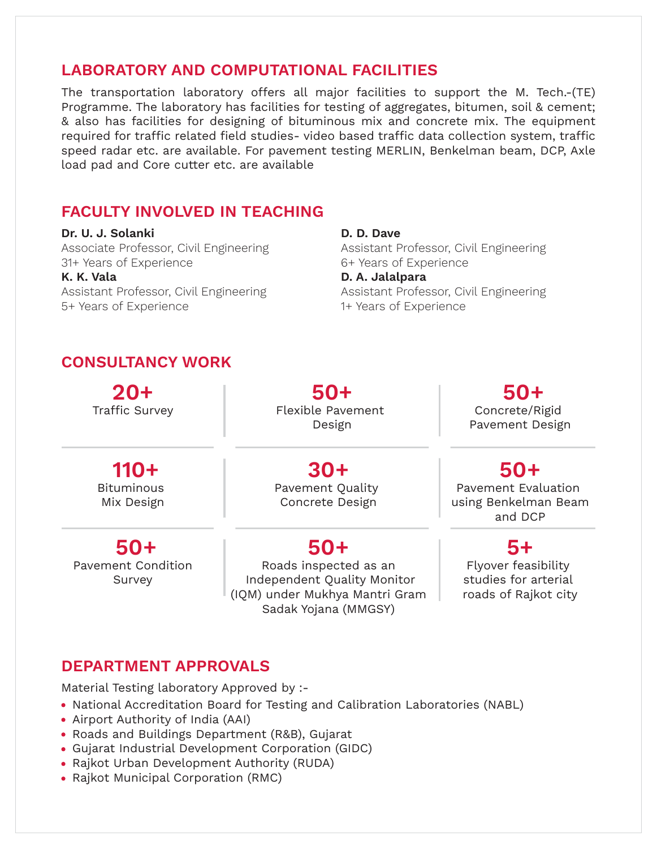## **LABORATORY AND COMPUTATIONAL FACILITIES**

The transportation laboratory offers all major facilities to support the M. Tech.-(TE) Programme. The laboratory has facilities for testing of aggregates, bitumen, soil & cement; & also has facilities for designing of bituminous mix and concrete mix. The equipment required for traffic related field studies- video based traffic data collection system, traffic speed radar etc. are available. For pavement testing MERLIN, Benkelman beam, DCP, Axle load pad and Core cutter etc. are available

## **FACULTY INVOLVED IN TEACHING**

**Dr. U. J. Solanki** Associate Professor, Civil Engineering 31+ Years of Experience **K. K. Vala**  Assistant Professor, Civil Engineering 5+ Years of Experience

**D. D. Dave**  Assistant Professor, Civil Engineering 6+ Years of Experience **D. A. Jalalpara**  Assistant Professor, Civil Engineering 1+ Years of Experience

## **CONSULTANCY WORK**

**20+** Traffic Survey

**50+** Flexible Pavement Design

 **50+** Concrete/Rigid Pavement Design

 **110+** Bituminous Mix Design

**30+** Pavement Quality Concrete Design

**50+**

Roads inspected as an Independent Quality Monitor (IQM) under Mukhya Mantri Gram Sadak Yojana (MMGSY)

# **50+**

Pavement Evaluation using Benkelman Beam and DCP

### **5+**

Flyover feasibility studies for arterial roads of Rajkot city

# Survey

 **50+** Pavement Condition

## **DEPARTMENT APPROVALS**

Material Testing laboratory Approved by :-

- National Accreditation Board for Testing and Calibration Laboratories (NABL)
- Airport Authority of India (AAI)
- Roads and Buildings Department (R&B), Gujarat
- Gujarat Industrial Development Corporation (GIDC)
- Rajkot Urban Development Authority (RUDA)
- Rajkot Municipal Corporation (RMC)